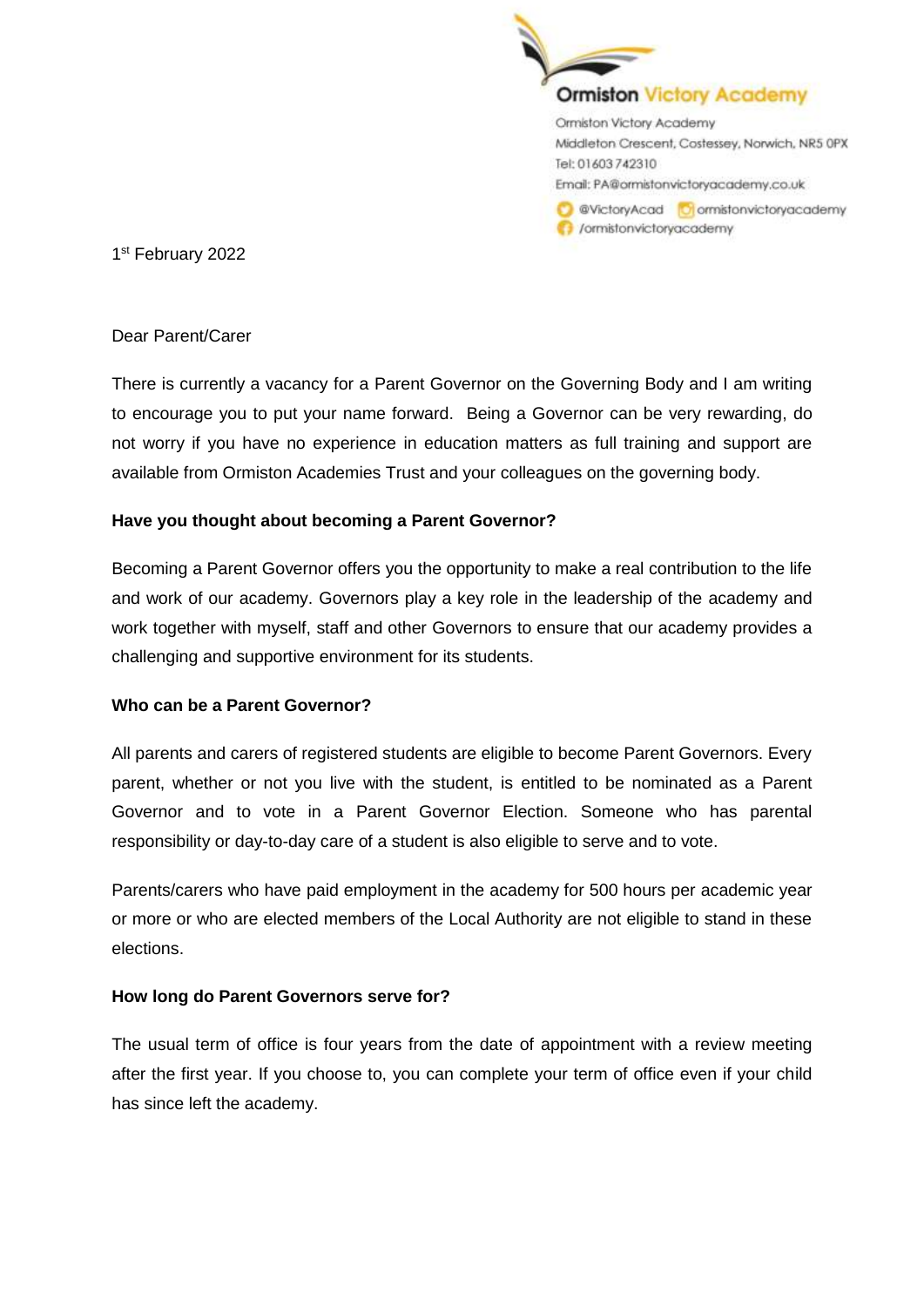

1 st February 2022

### Dear Parent/Carer

There is currently a vacancy for a Parent Governor on the Governing Body and I am writing to encourage you to put your name forward. Being a Governor can be very rewarding, do not worry if you have no experience in education matters as full training and support are available from Ormiston Academies Trust and your colleagues on the governing body.

## **Have you thought about becoming a Parent Governor?**

Becoming a Parent Governor offers you the opportunity to make a real contribution to the life and work of our academy. Governors play a key role in the leadership of the academy and work together with myself, staff and other Governors to ensure that our academy provides a challenging and supportive environment for its students.

## **Who can be a Parent Governor?**

All parents and carers of registered students are eligible to become Parent Governors. Every parent, whether or not you live with the student, is entitled to be nominated as a Parent Governor and to vote in a Parent Governor Election. Someone who has parental responsibility or day-to-day care of a student is also eligible to serve and to vote.

Parents/carers who have paid employment in the academy for 500 hours per academic year or more or who are elected members of the Local Authority are not eligible to stand in these elections.

## **How long do Parent Governors serve for?**

The usual term of office is four years from the date of appointment with a review meeting after the first year. If you choose to, you can complete your term of office even if your child has since left the academy.